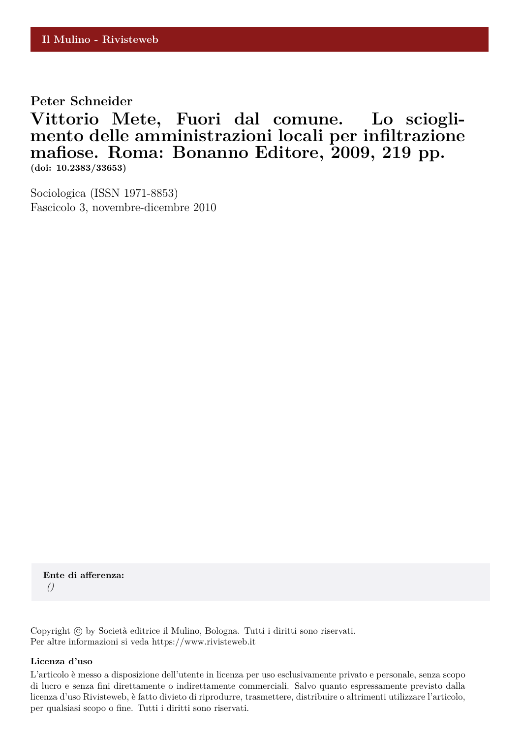**Peter Schneider**

**Vittorio Mete, Fuori dal comune. Lo scioglimento delle amministrazioni locali per infiltrazione mafiose. Roma: Bonanno Editore, 2009, 219 pp. (doi: 10.2383/33653)**

Sociologica (ISSN 1971-8853) Fascicolo 3, novembre-dicembre 2010

**Ente di afferenza:** *()*

Copyright © by Società editrice il Mulino, Bologna. Tutti i diritti sono riservati. Per altre informazioni si veda https://www.rivisteweb.it

## **Licenza d'uso**

L'articolo è messo a disposizione dell'utente in licenza per uso esclusivamente privato e personale, senza scopo di lucro e senza fini direttamente o indirettamente commerciali. Salvo quanto espressamente previsto dalla licenza d'uso Rivisteweb, è fatto divieto di riprodurre, trasmettere, distribuire o altrimenti utilizzare l'articolo, per qualsiasi scopo o fine. Tutti i diritti sono riservati.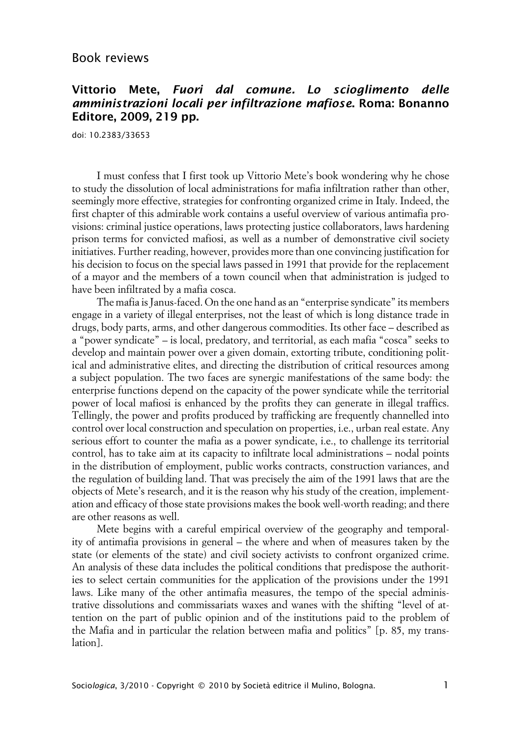## **Vittorio Mete, Fuori dal comune. Lo scioglimento delle amministrazioni locali per infiltrazione mafiose. Roma: Bonanno Editore, 2009, 219 pp.**

doi: 10.2383/33653

I must confess that I first took up Vittorio Mete's book wondering why he chose to study the dissolution of local administrations for mafia infiltration rather than other, seemingly more effective, strategies for confronting organized crime in Italy. Indeed, the first chapter of this admirable work contains a useful overview of various antimafia provisions: criminal justice operations, laws protecting justice collaborators, laws hardening prison terms for convicted mafiosi, as well as a number of demonstrative civil society initiatives. Further reading, however, provides more than one convincing justification for his decision to focus on the special laws passed in 1991 that provide for the replacement of a mayor and the members of a town council when that administration is judged to have been infiltrated by a mafia cosca.

The mafia is Janus-faced. On the one hand as an "enterprise syndicate" its members engage in a variety of illegal enterprises, not the least of which is long distance trade in drugs, body parts, arms, and other dangerous commodities. Its other face – described as a "power syndicate" – is local, predatory, and territorial, as each mafia "cosca" seeks to develop and maintain power over a given domain, extorting tribute, conditioning political and administrative elites, and directing the distribution of critical resources among a subject population. The two faces are synergic manifestations of the same body: the enterprise functions depend on the capacity of the power syndicate while the territorial power of local mafiosi is enhanced by the profits they can generate in illegal traffics. Tellingly, the power and profits produced by trafficking are frequently channelled into control over local construction and speculation on properties, i.e., urban real estate. Any serious effort to counter the mafia as a power syndicate, i.e., to challenge its territorial control, has to take aim at its capacity to infiltrate local administrations – nodal points in the distribution of employment, public works contracts, construction variances, and the regulation of building land. That was precisely the aim of the 1991 laws that are the objects of Mete's research, and it is the reason why his study of the creation, implementation and efficacy of those state provisions makes the book well-worth reading; and there are other reasons as well.

Mete begins with a careful empirical overview of the geography and temporality of antimafia provisions in general – the where and when of measures taken by the state (or elements of the state) and civil society activists to confront organized crime. An analysis of these data includes the political conditions that predispose the authorities to select certain communities for the application of the provisions under the 1991 laws. Like many of the other antimafia measures, the tempo of the special administrative dissolutions and commissariats waxes and wanes with the shifting "level of attention on the part of public opinion and of the institutions paid to the problem of the Mafia and in particular the relation between mafia and politics" [p. 85, my translation].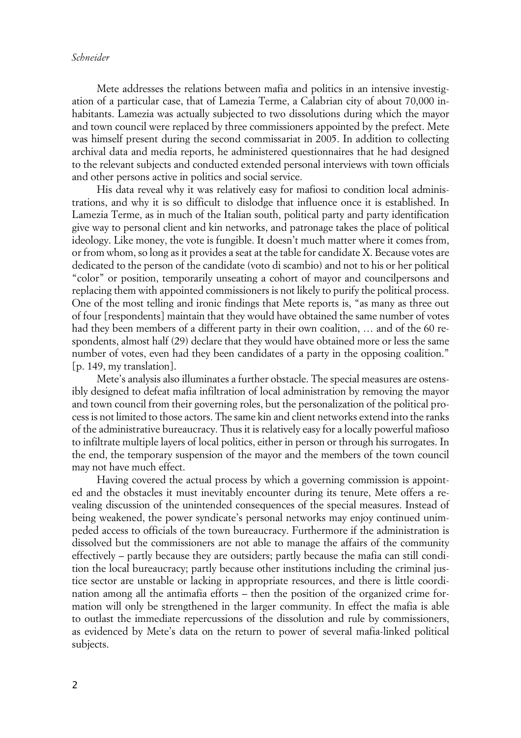Mete addresses the relations between mafia and politics in an intensive investigation of a particular case, that of Lamezia Terme, a Calabrian city of about 70,000 inhabitants. Lamezia was actually subjected to two dissolutions during which the mayor and town council were replaced by three commissioners appointed by the prefect. Mete was himself present during the second commissariat in 2005. In addition to collecting archival data and media reports, he administered questionnaires that he had designed to the relevant subjects and conducted extended personal interviews with town officials and other persons active in politics and social service.

His data reveal why it was relatively easy for mafiosi to condition local administrations, and why it is so difficult to dislodge that influence once it is established. In Lamezia Terme, as in much of the Italian south, political party and party identification give way to personal client and kin networks, and patronage takes the place of political ideology. Like money, the vote is fungible. It doesn't much matter where it comes from, or from whom, so long as it provides a seat at the table for candidate X. Because votes are dedicated to the person of the candidate (voto di scambio) and not to his or her political "color" or position, temporarily unseating a cohort of mayor and councilpersons and replacing them with appointed commissioners is not likely to purify the political process. One of the most telling and ironic findings that Mete reports is, "as many as three out of four [respondents] maintain that they would have obtained the same number of votes had they been members of a different party in their own coalition, … and of the 60 respondents, almost half (29) declare that they would have obtained more or less the same number of votes, even had they been candidates of a party in the opposing coalition." [p. 149, my translation].

Mete's analysis also illuminates a further obstacle. The special measures are ostensibly designed to defeat mafia infiltration of local administration by removing the mayor and town council from their governing roles, but the personalization of the political process is not limited to those actors. The same kin and client networks extend into the ranks of the administrative bureaucracy. Thus it is relatively easy for a locally powerful mafioso to infiltrate multiple layers of local politics, either in person or through his surrogates. In the end, the temporary suspension of the mayor and the members of the town council may not have much effect.

Having covered the actual process by which a governing commission is appointed and the obstacles it must inevitably encounter during its tenure, Mete offers a revealing discussion of the unintended consequences of the special measures. Instead of being weakened, the power syndicate's personal networks may enjoy continued unimpeded access to officials of the town bureaucracy. Furthermore if the administration is dissolved but the commissioners are not able to manage the affairs of the community effectively – partly because they are outsiders; partly because the mafia can still condition the local bureaucracy; partly because other institutions including the criminal justice sector are unstable or lacking in appropriate resources, and there is little coordination among all the antimafia efforts – then the position of the organized crime formation will only be strengthened in the larger community. In effect the mafia is able to outlast the immediate repercussions of the dissolution and rule by commissioners, as evidenced by Mete's data on the return to power of several mafia-linked political subjects.